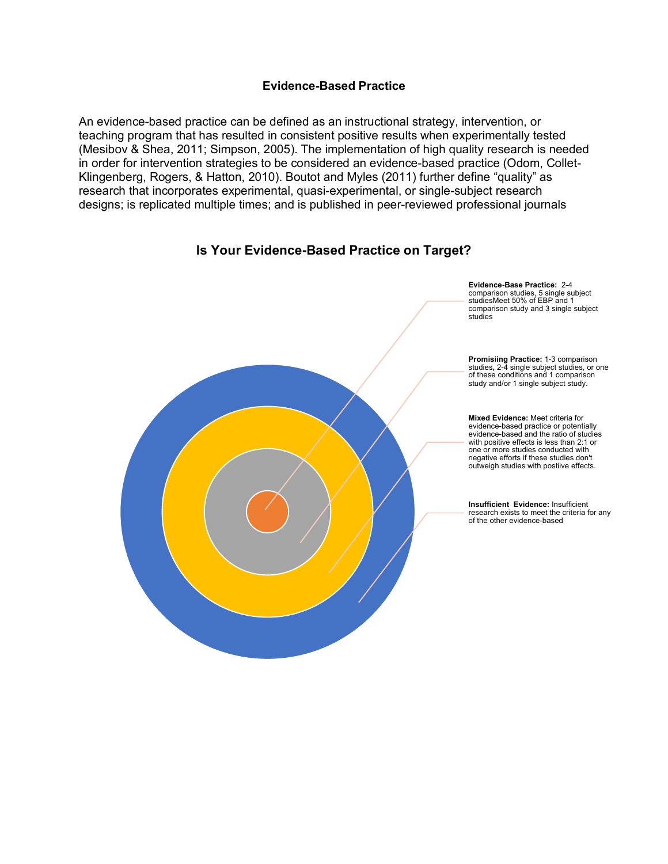## **Evidence-Based Practice**

An evidence-based practice can be defined as an instructional strategy, intervention, or teaching program that has resulted in consistent positive results when experimentally tested (Mesibov & Shea, 2011; Simpson, 2005). The implementation of high quality research is needed in order for intervention strategies to be considered an evidence-based practice (Odom, Collet-Klingenberg, Rogers, & Hatton, 2010). Boutot and Myles (2011) further define "quality" as research that incorporates experimental, quasi-experimental, or single-subject research designs; is replicated multiple times; and is published in peer-reviewed professional journals

## **Is Your Evidence-Based Practice on Target?**



**Evidence-Base Practice:** 2-4 comparison studies, 5 single subject studiesMeet 50% of EBP and 1 comparison study and 3 single subject

**Promisiing Practice:** 1-3 comparison studies**,** 2-4 single subject studies, or one of these conditions and 1 comparison study and/or 1 single subject study.

**Mixed Evidence:** Meet criteria for evidence-based practice or potentially evidence-based and the ratio of studies with positive effects is less than 2:1 or one or more studies conducted with negative efforts if these studies don't outweigh studies with postiive effects.

**Insufficient Evidence:** Insufficient research exists to meet the criteria for any of the other evidence-based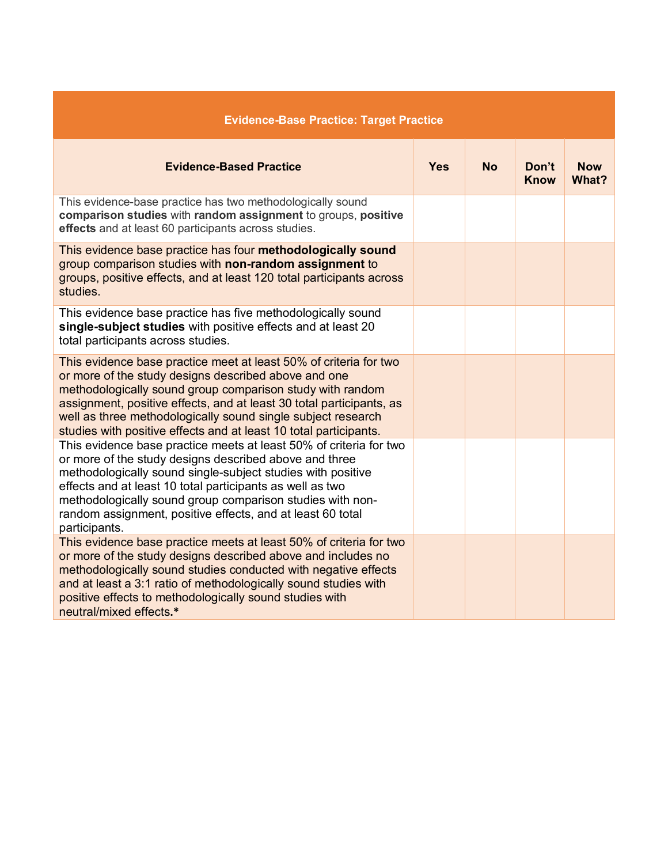| <b>Evidence-Base Practice: Target Practice</b>                                                                                                                                                                                                                                                                                                                                                       |            |           |                      |                     |
|------------------------------------------------------------------------------------------------------------------------------------------------------------------------------------------------------------------------------------------------------------------------------------------------------------------------------------------------------------------------------------------------------|------------|-----------|----------------------|---------------------|
| <b>Evidence-Based Practice</b>                                                                                                                                                                                                                                                                                                                                                                       | <b>Yes</b> | <b>No</b> | Don't<br><b>Know</b> | <b>Now</b><br>What? |
| This evidence-base practice has two methodologically sound<br>comparison studies with random assignment to groups, positive<br>effects and at least 60 participants across studies.                                                                                                                                                                                                                  |            |           |                      |                     |
| This evidence base practice has four methodologically sound<br>group comparison studies with non-random assignment to<br>groups, positive effects, and at least 120 total participants across<br>studies.                                                                                                                                                                                            |            |           |                      |                     |
| This evidence base practice has five methodologically sound<br>single-subject studies with positive effects and at least 20<br>total participants across studies.                                                                                                                                                                                                                                    |            |           |                      |                     |
| This evidence base practice meet at least 50% of criteria for two<br>or more of the study designs described above and one<br>methodologically sound group comparison study with random<br>assignment, positive effects, and at least 30 total participants, as<br>well as three methodologically sound single subject research<br>studies with positive effects and at least 10 total participants.  |            |           |                      |                     |
| This evidence base practice meets at least 50% of criteria for two<br>or more of the study designs described above and three<br>methodologically sound single-subject studies with positive<br>effects and at least 10 total participants as well as two<br>methodologically sound group comparison studies with non-<br>random assignment, positive effects, and at least 60 total<br>participants. |            |           |                      |                     |
| This evidence base practice meets at least 50% of criteria for two<br>or more of the study designs described above and includes no<br>methodologically sound studies conducted with negative effects<br>and at least a 3:1 ratio of methodologically sound studies with<br>positive effects to methodologically sound studies with<br>neutral/mixed effects.*                                        |            |           |                      |                     |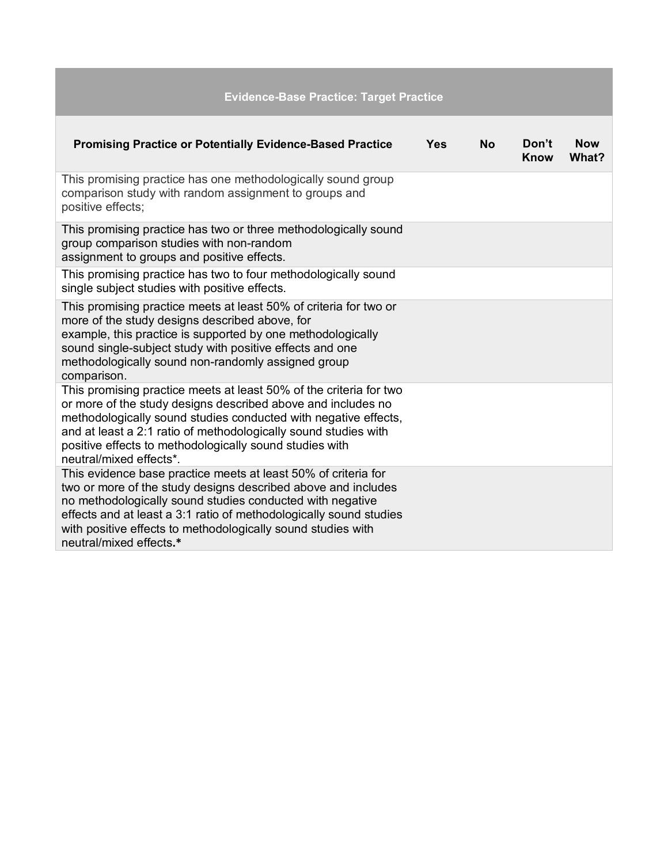| <b>Evidence-Base Practice: Target Practice</b>                                                                                                                                                                                                                                                                                                                 |     |           |               |                     |
|----------------------------------------------------------------------------------------------------------------------------------------------------------------------------------------------------------------------------------------------------------------------------------------------------------------------------------------------------------------|-----|-----------|---------------|---------------------|
| <b>Promising Practice or Potentially Evidence-Based Practice</b>                                                                                                                                                                                                                                                                                               | Yes | <b>No</b> | Don't<br>Know | <b>Now</b><br>What? |
| This promising practice has one methodologically sound group<br>comparison study with random assignment to groups and<br>positive effects;                                                                                                                                                                                                                     |     |           |               |                     |
| This promising practice has two or three methodologically sound<br>group comparison studies with non-random<br>assignment to groups and positive effects.                                                                                                                                                                                                      |     |           |               |                     |
| This promising practice has two to four methodologically sound<br>single subject studies with positive effects.                                                                                                                                                                                                                                                |     |           |               |                     |
| This promising practice meets at least 50% of criteria for two or<br>more of the study designs described above, for<br>example, this practice is supported by one methodologically<br>sound single-subject study with positive effects and one<br>methodologically sound non-randomly assigned group<br>comparison.                                            |     |           |               |                     |
| This promising practice meets at least 50% of the criteria for two<br>or more of the study designs described above and includes no<br>methodologically sound studies conducted with negative effects,<br>and at least a 2:1 ratio of methodologically sound studies with<br>positive effects to methodologically sound studies with<br>neutral/mixed effects*. |     |           |               |                     |
| This evidence base practice meets at least 50% of criteria for<br>two or more of the study designs described above and includes<br>no methodologically sound studies conducted with negative<br>effects and at least a 3:1 ratio of methodologically sound studies<br>with positive effects to methodologically sound studies with<br>neutral/mixed effects.*  |     |           |               |                     |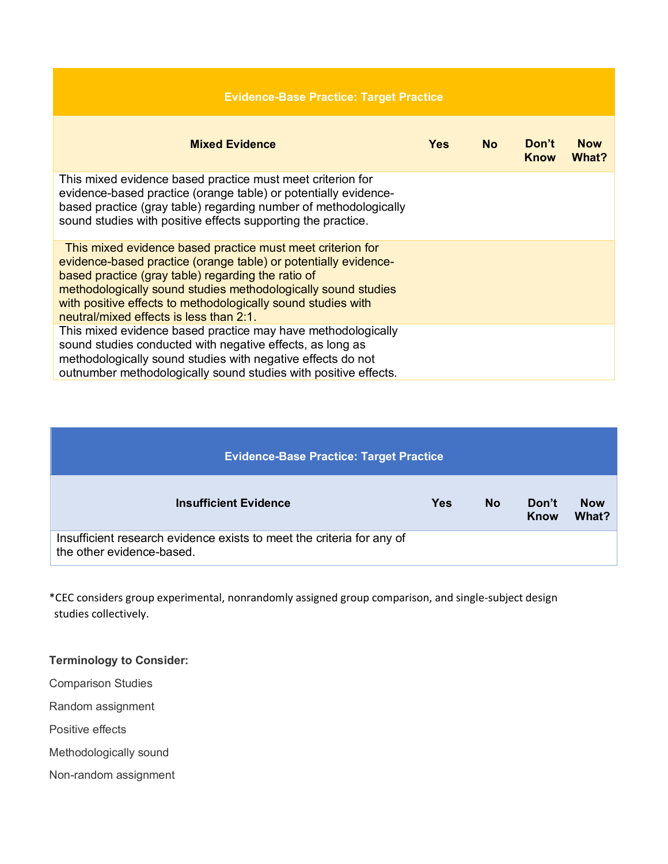| <b>Evidence-Base Practice: Target Practice</b>                                                                                                                                                                                                                                                                                                                  |            |           |                      |                     |
|-----------------------------------------------------------------------------------------------------------------------------------------------------------------------------------------------------------------------------------------------------------------------------------------------------------------------------------------------------------------|------------|-----------|----------------------|---------------------|
| <b>Mixed Evidence</b>                                                                                                                                                                                                                                                                                                                                           | <b>Yes</b> | <b>No</b> | Don't<br><b>Know</b> | <b>Now</b><br>What? |
| This mixed evidence based practice must meet criterion for<br>evidence-based practice (orange table) or potentially evidence-<br>based practice (gray table) regarding number of methodologically<br>sound studies with positive effects supporting the practice.                                                                                               |            |           |                      |                     |
| This mixed evidence based practice must meet criterion for<br>evidence-based practice (orange table) or potentially evidence-<br>based practice (gray table) regarding the ratio of<br>methodologically sound studies methodologically sound studies<br>with positive effects to methodologically sound studies with<br>neutral/mixed effects is less than 2:1. |            |           |                      |                     |
| This mixed evidence based practice may have methodologically<br>sound studies conducted with negative effects, as long as<br>methodologically sound studies with negative effects do not<br>outnumber methodologically sound studies with positive effects.                                                                                                     |            |           |                      |                     |

| <b>Evidence-Base Practice: Target Practice</b>                                                     |            |           |               |                     |
|----------------------------------------------------------------------------------------------------|------------|-----------|---------------|---------------------|
| <b>Insufficient Evidence</b>                                                                       | <b>Yes</b> | <b>No</b> | Don't<br>Know | <b>Now</b><br>What? |
| Insufficient research evidence exists to meet the criteria for any of<br>the other evidence-based. |            |           |               |                     |

\*CEC considers group experimental, nonrandomly assigned group comparison, and single-subject design studies collectively.

## **Terminology to Consider:**

Comparison Studies

Random assignment

Positive effects

Methodologically sound

Non-random assignment